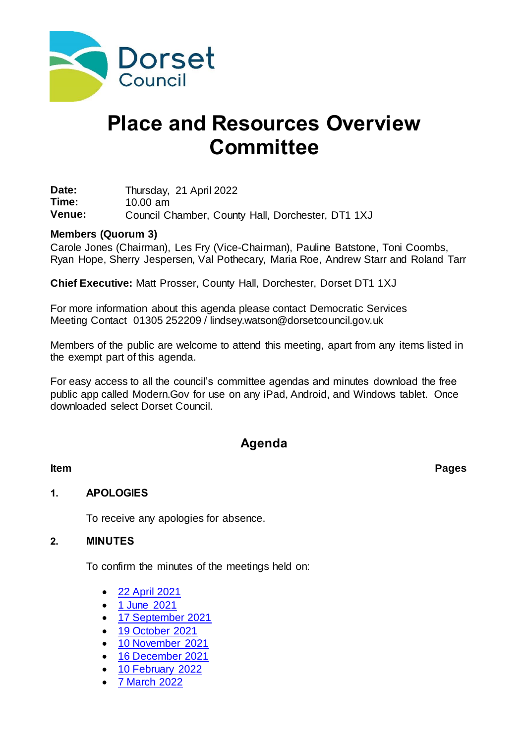

# **Place and Resources Overview Committee**

**Date:** Thursday, 21 April 2022<br> **Time:** 10.00 am **Time:** 10.00 am **Venue:** Council Chamber, County Hall, Dorchester, DT1 1XJ

#### **Members (Quorum 3)**

Carole Jones (Chairman), Les Fry (Vice-Chairman), Pauline Batstone, Toni Coombs, Ryan Hope, Sherry Jespersen, Val Pothecary, Maria Roe, Andrew Starr and Roland Tarr

**Chief Executive:** Matt Prosser, County Hall, Dorchester, Dorset DT1 1XJ

For more information about this agenda please contact Democratic Services Meeting Contact 01305 252209 / lindsey.watson@dorsetcouncil.gov.uk

Members of the public are welcome to attend this meeting, apart from any items listed in the exempt part of this agenda.

For easy access to all the council's committee agendas and minutes download the free public app called Modern.Gov for use on any iPad, Android, and Windows tablet. Once downloaded select Dorset Council.

# **Agenda**

**Item Pages**

### **1. APOLOGIES**

To receive any apologies for absence.

### **2. MINUTES**

To confirm the minutes of the meetings held on:

- [22 April 2021](https://moderngov.dorsetcouncil.gov.uk/documents/g5000/Printed%20minutes%2022nd-Apr-2021%2010.00%20Place%20and%20Resources%20Overview%20Committee.pdf?T=1)
- [1 June 2021](https://moderngov.dorsetcouncil.gov.uk/documents/g5180/Printed%20minutes%2001st-Jun-2021%2010.00%20Place%20and%20Resources%20Overview%20Committee.pdf?T=1)
- [17 September 2021](https://moderngov.dorsetcouncil.gov.uk/documents/g5181/Printed%20minutes%2017th-Sep-2021%2010.00%20Place%20and%20Resources%20Overview%20Committee.pdf?T=1)
- [19 October 2021](https://moderngov.dorsetcouncil.gov.uk/documents/g5182/Printed%20minutes%2019th-Oct-2021%2010.00%20Place%20and%20Resources%20Overview%20Committee.pdf?T=1)
- [10 November 2021](https://moderngov.dorsetcouncil.gov.uk/documents/g5264/Printed%20minutes%2010th-Nov-2021%2010.00%20Place%20and%20Resources%20Overview%20Committee.pdf?T=1)
- [16 December 2021](https://moderngov.dorsetcouncil.gov.uk/documents/g5183/Printed%20minutes%2016th-Dec-2021%2010.00%20Place%20and%20Resources%20Overview%20Committee.pdf?T=1)
- [10 February 2022](https://moderngov.dorsetcouncil.gov.uk/documents/g5184/Printed%20minutes%2010th-Feb-2022%2010.00%20Place%20and%20Resources%20Overview%20Committee.pdf?T=1)
- [7 March 2022](https://moderngov.dorsetcouncil.gov.uk/documents/g5427/Printed%20minutes%2007th-Mar-2022%2010.00%20Place%20and%20Resources%20Overview%20Committee.pdf?T=1)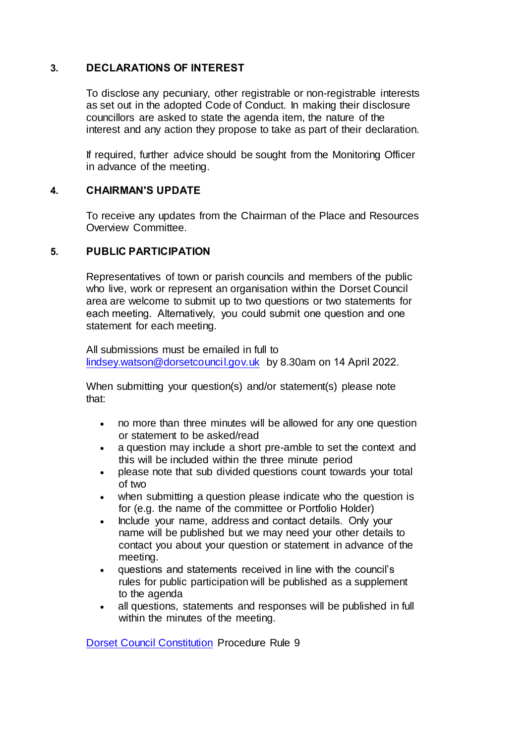#### **3. DECLARATIONS OF INTEREST**

To disclose any pecuniary, other registrable or non-registrable interests as set out in the adopted Code of Conduct. In making their disclosure councillors are asked to state the agenda item, the nature of the interest and any action they propose to take as part of their declaration.

If required, further advice should be sought from the Monitoring Officer in advance of the meeting.

#### **4. CHAIRMAN'S UPDATE**

To receive any updates from the Chairman of the Place and Resources Overview Committee.

#### **5. PUBLIC PARTICIPATION**

Representatives of town or parish councils and members of the public who live, work or represent an organisation within the Dorset Council area are welcome to submit up to two questions or two statements for each meeting.  Alternatively, you could submit one question and one statement for each meeting.

All submissions must be emailed in full to [lindsey.watson@dorsetcouncil.gov.uk](mailto:lindsey.watson@dorsetcouncil.gov.uk) by 8.30am on 14 April 2022. 

When submitting your question(s) and/or statement(s) please note that:

- no more than three minutes will be allowed for any one question or statement to be asked/read
- a question may include a short pre-amble to set the context and this will be included within the three minute period
- please note that sub divided questions count towards your total of two
- when submitting a question please indicate who the question is for (e.g. the name of the committee or Portfolio Holder)
- Include your name, address and contact details.  Only your name will be published but we may need your other details to contact you about your question or statement in advance of the meeting.
- questions and statements received in line with the council's rules for public participation will be published as a supplement to the agenda
- all questions, statements and responses will be published in full within the minutes of the meeting.

[Dorset Council Constitution](https://moderngov.dorsetcouncil.gov.uk/ieListMeetings.aspx?CId=433&Year=0&info=1&MD=constitution) Procedure Rule 9